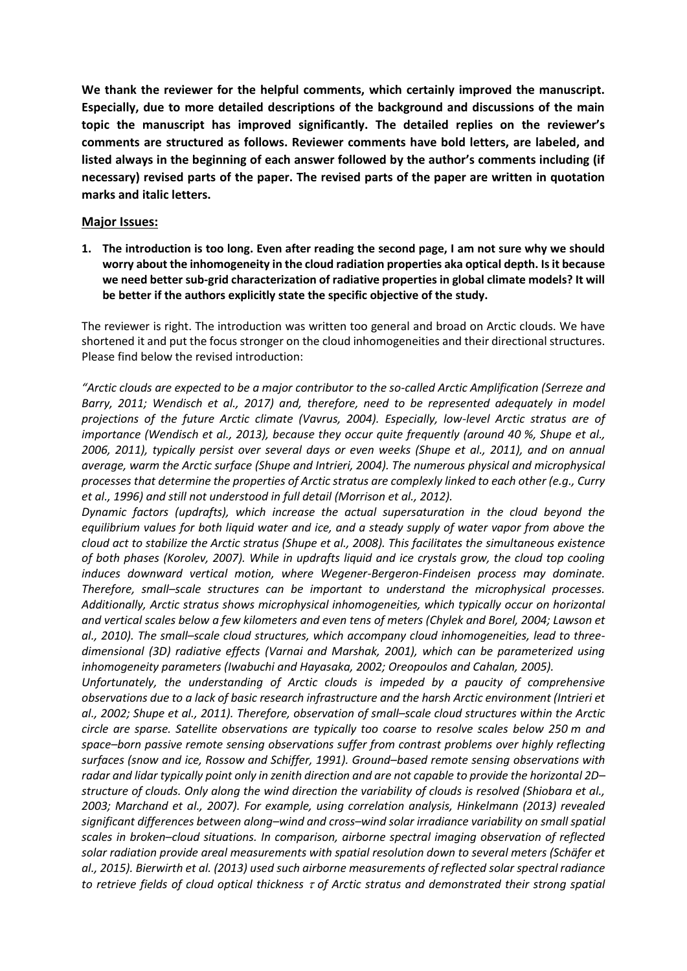**We thank the reviewer for the helpful comments, which certainly improved the manuscript. Especially, due to more detailed descriptions of the background and discussions of the main topic the manuscript has improved significantly. The detailed replies on the reviewer's comments are structured as follows. Reviewer comments have bold letters, are labeled, and listed always in the beginning of each answer followed by the author's comments including (if necessary) revised parts of the paper. The revised parts of the paper are written in quotation marks and italic letters.**

### **Major Issues:**

**1. The introduction is too long. Even after reading the second page, I am not sure why we should worry about the inhomogeneity in the cloud radiation properties aka optical depth. Is it because we need better sub-grid characterization of radiative properties in global climate models? It will be better if the authors explicitly state the specific objective of the study.**

The reviewer is right. The introduction was written too general and broad on Arctic clouds. We have shortened it and put the focus stronger on the cloud inhomogeneities and their directional structures. Please find below the revised introduction:

*"Arctic clouds are expected to be a major contributor to the so-called Arctic Amplification (Serreze and Barry, 2011; Wendisch et al., 2017) and, therefore, need to be represented adequately in model projections of the future Arctic climate (Vavrus, 2004). Especially, low-level Arctic stratus are of importance (Wendisch et al., 2013), because they occur quite frequently (around 40 %, Shupe et al., 2006, 2011), typically persist over several days or even weeks (Shupe et al., 2011), and on annual average, warm the Arctic surface (Shupe and Intrieri, 2004). The numerous physical and microphysical processes that determine the properties of Arctic stratus are complexly linked to each other (e.g., Curry et al., 1996) and still not understood in full detail (Morrison et al., 2012).* 

*Dynamic factors (updrafts), which increase the actual supersaturation in the cloud beyond the equilibrium values for both liquid water and ice, and a steady supply of water vapor from above the cloud act to stabilize the Arctic stratus (Shupe et al., 2008). This facilitates the simultaneous existence of both phases (Korolev, 2007). While in updrafts liquid and ice crystals grow, the cloud top cooling induces downward vertical motion, where Wegener-Bergeron-Findeisen process may dominate. Therefore, small–scale structures can be important to understand the microphysical processes. Additionally, Arctic stratus shows microphysical inhomogeneities, which typically occur on horizontal and vertical scales below a few kilometers and even tens of meters (Chylek and Borel, 2004; Lawson et al., 2010). The small–scale cloud structures, which accompany cloud inhomogeneities, lead to threedimensional (3D) radiative effects (Varnai and Marshak, 2001), which can be parameterized using inhomogeneity parameters (Iwabuchi and Hayasaka, 2002; Oreopoulos and Cahalan, 2005).* 

*Unfortunately, the understanding of Arctic clouds is impeded by a paucity of comprehensive observations due to a lack of basic research infrastructure and the harsh Arctic environment (Intrieri et al., 2002; Shupe et al., 2011). Therefore, observation of small–scale cloud structures within the Arctic circle are sparse. Satellite observations are typically too coarse to resolve scales below 250 m and space–born passive remote sensing observations suffer from contrast problems over highly reflecting surfaces (snow and ice, Rossow and Schiffer, 1991). Ground–based remote sensing observations with radar and lidar typically point only in zenith direction and are not capable to provide the horizontal 2D– structure of clouds. Only along the wind direction the variability of clouds is resolved (Shiobara et al., 2003; Marchand et al., 2007). For example, using correlation analysis, Hinkelmann (2013) revealed significant differences between along–wind and cross–wind solar irradiance variability on small spatial scales in broken–cloud situations. In comparison, airborne spectral imaging observation of reflected solar radiation provide areal measurements with spatial resolution down to several meters (Schäfer et al., 2015). Bierwirth et al. (2013) used such airborne measurements of reflected solar spectral radiance to retrieve fields of cloud optical thickness of Arctic stratus and demonstrated their strong spatial*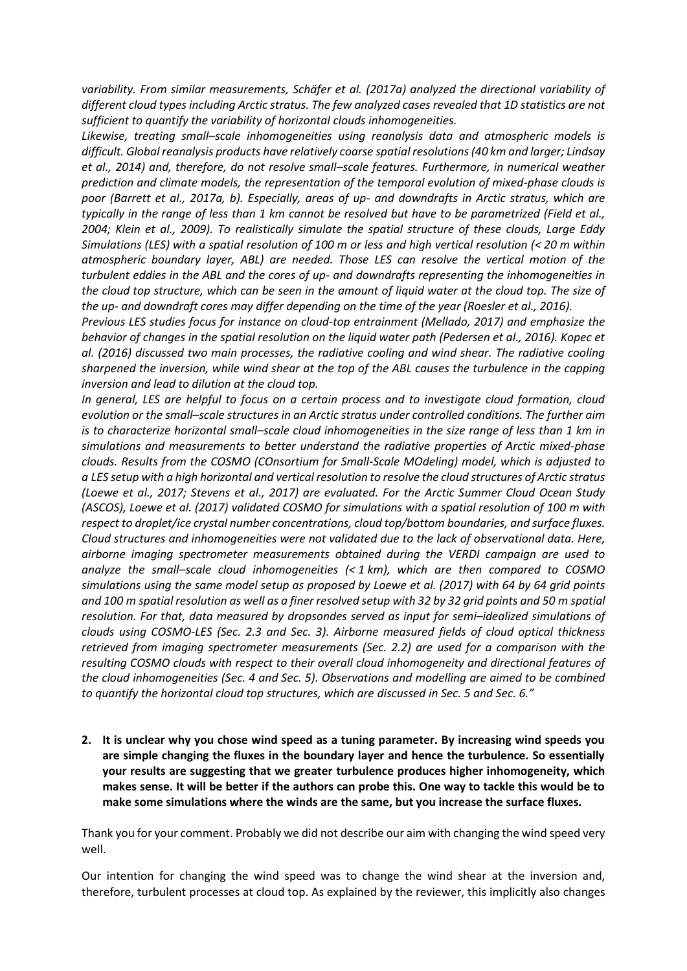*variability. From similar measurements, Schäfer et al. (2017a) analyzed the directional variability of different cloud types including Arctic stratus. The few analyzed cases revealed that 1D statistics are not sufficient to quantify the variability of horizontal clouds inhomogeneities.* 

*Likewise, treating small–scale inhomogeneities using reanalysis data and atmospheric models is difficult. Global reanalysis products have relatively coarse spatial resolutions (40 km and larger; Lindsay et al., 2014) and, therefore, do not resolve small–scale features. Furthermore, in numerical weather prediction and climate models, the representation of the temporal evolution of mixed-phase clouds is poor (Barrett et al., 2017a, b). Especially, areas of up- and downdrafts in Arctic stratus, which are typically in the range of less than 1 km cannot be resolved but have to be parametrized (Field et al., 2004; Klein et al., 2009). To realistically simulate the spatial structure of these clouds, Large Eddy Simulations (LES) with a spatial resolution of 100 m or less and high vertical resolution (< 20 m within atmospheric boundary layer, ABL) are needed. Those LES can resolve the vertical motion of the turbulent eddies in the ABL and the cores of up- and downdrafts representing the inhomogeneities in the cloud top structure, which can be seen in the amount of liquid water at the cloud top. The size of the up- and downdraft cores may differ depending on the time of the year (Roesler et al., 2016).* 

*Previous LES studies focus for instance on cloud-top entrainment (Mellado, 2017) and emphasize the behavior of changes in the spatial resolution on the liquid water path (Pedersen et al., 2016). Kopec et al. (2016) discussed two main processes, the radiative cooling and wind shear. The radiative cooling sharpened the inversion, while wind shear at the top of the ABL causes the turbulence in the capping inversion and lead to dilution at the cloud top.* 

*In general, LES are helpful to focus on a certain process and to investigate cloud formation, cloud evolution or the small–scale structures in an Arctic stratus under controlled conditions. The further aim is to characterize horizontal small–scale cloud inhomogeneities in the size range of less than 1 km in simulations and measurements to better understand the radiative properties of Arctic mixed-phase clouds. Results from the COSMO (COnsortium for Small-Scale MOdeling) model, which is adjusted to a LES setup with a high horizontal and vertical resolution to resolve the cloud structures of Arctic stratus (Loewe et al., 2017; Stevens et al., 2017) are evaluated. For the Arctic Summer Cloud Ocean Study (ASCOS), Loewe et al. (2017) validated COSMO for simulations with a spatial resolution of 100 m with respect to droplet/ice crystal number concentrations, cloud top/bottom boundaries, and surface fluxes. Cloud structures and inhomogeneities were not validated due to the lack of observational data. Here, airborne imaging spectrometer measurements obtained during the VERDI campaign are used to analyze the small–scale cloud inhomogeneities (< 1 km), which are then compared to COSMO simulations using the same model setup as proposed by Loewe et al. (2017) with 64 by 64 grid points and 100 m spatial resolution as well as a finer resolved setup with 32 by 32 grid points and 50 m spatial resolution. For that, data measured by dropsondes served as input for semi–idealized simulations of clouds using COSMO-LES (Sec. 2.3 and Sec. 3). Airborne measured fields of cloud optical thickness retrieved from imaging spectrometer measurements (Sec. 2.2) are used for a comparison with the resulting COSMO clouds with respect to their overall cloud inhomogeneity and directional features of the cloud inhomogeneities (Sec. 4 and Sec. 5). Observations and modelling are aimed to be combined to quantify the horizontal cloud top structures, which are discussed in Sec. 5 and Sec. 6."*

**2. It is unclear why you chose wind speed as a tuning parameter. By increasing wind speeds you are simple changing the fluxes in the boundary layer and hence the turbulence. So essentially your results are suggesting that we greater turbulence produces higher inhomogeneity, which makes sense. It will be better if the authors can probe this. One way to tackle this would be to make some simulations where the winds are the same, but you increase the surface fluxes.**

Thank you for your comment. Probably we did not describe our aim with changing the wind speed very well.

Our intention for changing the wind speed was to change the wind shear at the inversion and, therefore, turbulent processes at cloud top. As explained by the reviewer, this implicitly also changes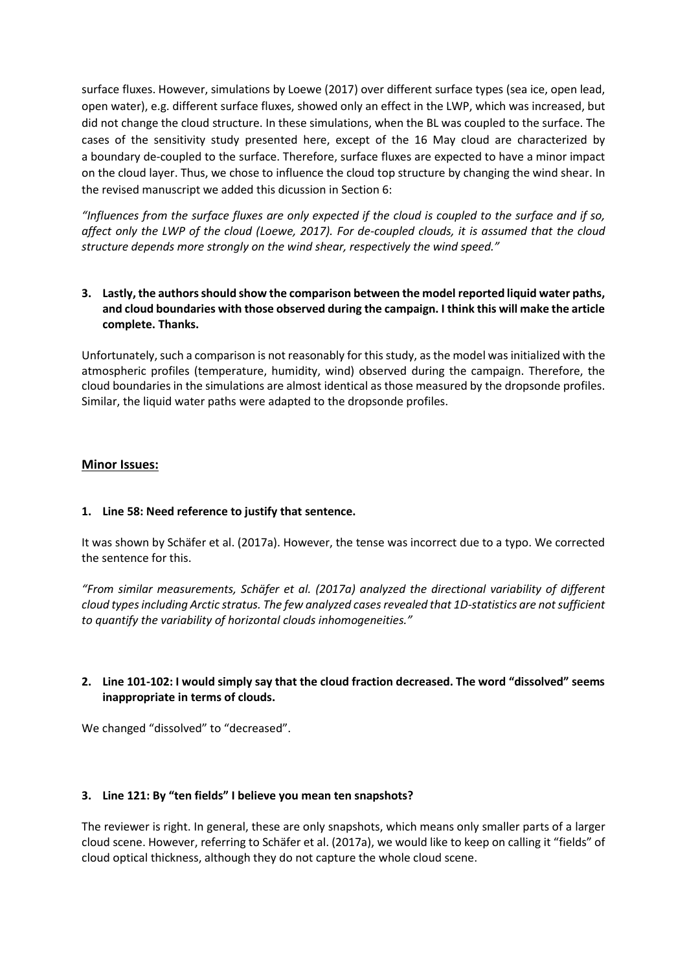surface fluxes. However, simulations by Loewe (2017) over different surface types (sea ice, open lead, open water), e.g. different surface fluxes, showed only an effect in the LWP, which was increased, but did not change the cloud structure. In these simulations, when the BL was coupled to the surface. The cases of the sensitivity study presented here, except of the 16 May cloud are characterized by a boundary de-coupled to the surface. Therefore, surface fluxes are expected to have a minor impact on the cloud layer. Thus, we chose to influence the cloud top structure by changing the wind shear. In the revised manuscript we added this dicussion in Section 6:

*"Influences from the surface fluxes are only expected if the cloud is coupled to the surface and if so, affect only the LWP of the cloud (Loewe, 2017). For de-coupled clouds, it is assumed that the cloud structure depends more strongly on the wind shear, respectively the wind speed."*

# **3. Lastly, the authors should show the comparison between the model reported liquid water paths, and cloud boundaries with those observed during the campaign. I think this will make the article complete. Thanks.**

Unfortunately, such a comparison is not reasonably for this study, as the model was initialized with the atmospheric profiles (temperature, humidity, wind) observed during the campaign. Therefore, the cloud boundaries in the simulations are almost identical as those measured by the dropsonde profiles. Similar, the liquid water paths were adapted to the dropsonde profiles.

## **Minor Issues:**

## **1. Line 58: Need reference to justify that sentence.**

It was shown by Schäfer et al. (2017a). However, the tense was incorrect due to a typo. We corrected the sentence for this.

*"From similar measurements, Schäfer et al. (2017a) analyzed the directional variability of different cloud types including Arctic stratus. The few analyzed cases revealed that 1D-statistics are not sufficient to quantify the variability of horizontal clouds inhomogeneities."*

## **2. Line 101-102: I would simply say that the cloud fraction decreased. The word "dissolved" seems inappropriate in terms of clouds.**

We changed "dissolved" to "decreased".

#### **3. Line 121: By "ten fields" I believe you mean ten snapshots?**

The reviewer is right. In general, these are only snapshots, which means only smaller parts of a larger cloud scene. However, referring to Schäfer et al. (2017a), we would like to keep on calling it "fields" of cloud optical thickness, although they do not capture the whole cloud scene.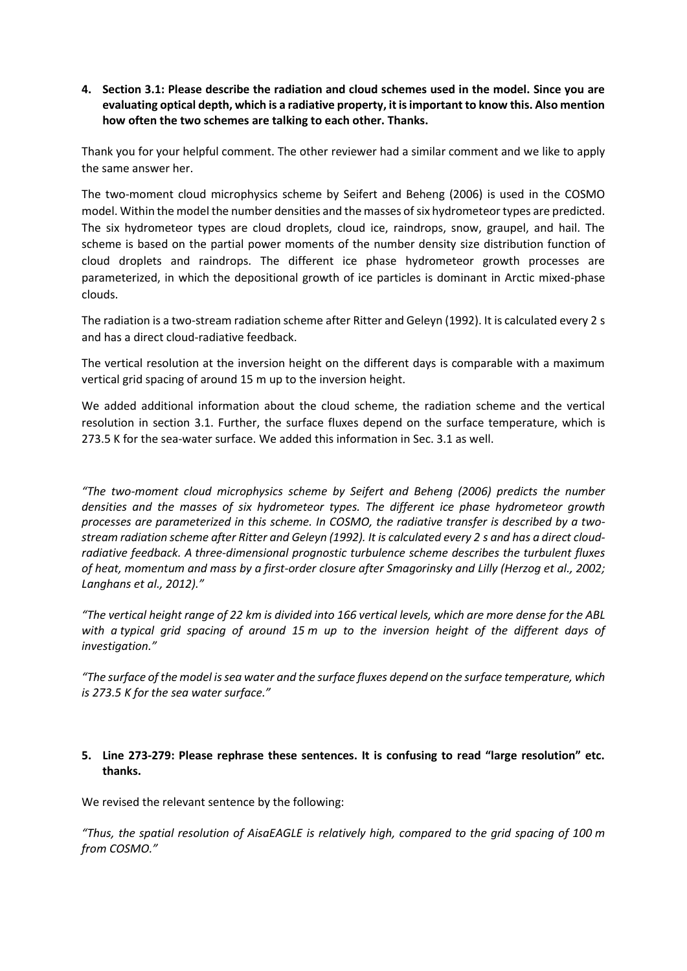## **4. Section 3.1: Please describe the radiation and cloud schemes used in the model. Since you are evaluating optical depth, which is a radiative property, it is important to know this. Also mention how often the two schemes are talking to each other. Thanks.**

Thank you for your helpful comment. The other reviewer had a similar comment and we like to apply the same answer her.

The two-moment cloud microphysics scheme by Seifert and Beheng (2006) is used in the COSMO model. Within the model the number densities and the masses of six hydrometeor types are predicted. The six hydrometeor types are cloud droplets, cloud ice, raindrops, snow, graupel, and hail. The scheme is based on the partial power moments of the number density size distribution function of cloud droplets and raindrops. The different ice phase hydrometeor growth processes are parameterized, in which the depositional growth of ice particles is dominant in Arctic mixed-phase clouds.

The radiation is a two-stream radiation scheme after Ritter and Geleyn (1992). It is calculated every 2 s and has a direct cloud-radiative feedback.

The vertical resolution at the inversion height on the different days is comparable with a maximum vertical grid spacing of around 15 m up to the inversion height.

We added additional information about the cloud scheme, the radiation scheme and the vertical resolution in section 3.1. Further, the surface fluxes depend on the surface temperature, which is 273.5 K for the sea-water surface. We added this information in Sec. 3.1 as well.

*"The two-moment cloud microphysics scheme by Seifert and Beheng (2006) predicts the number densities and the masses of six hydrometeor types. The different ice phase hydrometeor growth processes are parameterized in this scheme. In COSMO, the radiative transfer is described by a twostream radiation scheme after Ritter and Geleyn (1992). It is calculated every 2 s and has a direct cloudradiative feedback. A three-dimensional prognostic turbulence scheme describes the turbulent fluxes of heat, momentum and mass by a first-order closure after Smagorinsky and Lilly (Herzog et al., 2002; Langhans et al., 2012)."*

*"The vertical height range of 22 km is divided into 166 vertical levels, which are more dense for the ABL with a typical grid spacing of around 15 m up to the inversion height of the different days of investigation."* 

*"The surface of the model is sea water and the surface fluxes depend on the surface temperature, which is 273.5 K for the sea water surface."* 

### **5. Line 273-279: Please rephrase these sentences. It is confusing to read "large resolution" etc. thanks.**

We revised the relevant sentence by the following:

*"Thus, the spatial resolution of AisaEAGLE is relatively high, compared to the grid spacing of 100 m from COSMO."*